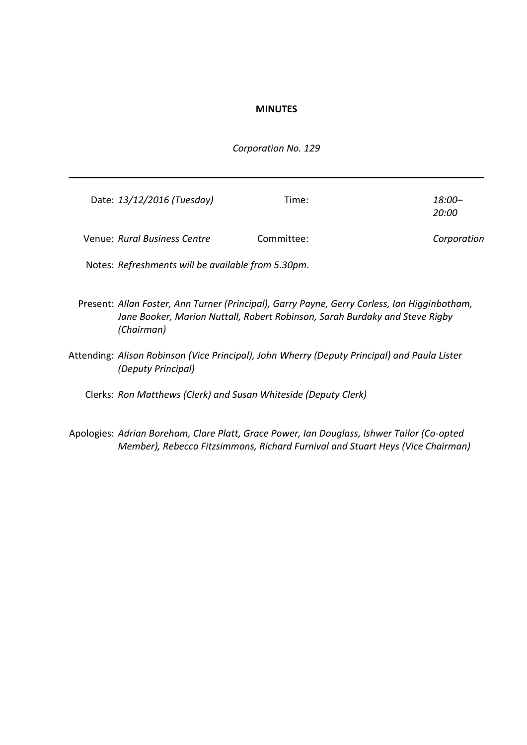#### **MINUTES**

#### *Corporation No. 129*

| Date: 13/12/2016 (Tuesday)   | Time:      | 18:00-<br>20:00 |
|------------------------------|------------|-----------------|
| Venue: Rural Business Centre | Committee: | Corporation     |

Notes: *Refreshments will be available from 5.30pm.*

Present: *Allan Foster, Ann Turner (Principal), Garry Payne, Gerry Corless, Ian Higginbotham, Jane Booker, Marion Nuttall, Robert Robinson, Sarah Burdaky and Steve Rigby (Chairman)*

Attending: *Alison Robinson (Vice Principal), John Wherry (Deputy Principal) and Paula Lister (Deputy Principal)*

Clerks: *Ron Matthews (Clerk) and Susan Whiteside (Deputy Clerk)*

Apologies: *Adrian Boreham, Clare Platt, Grace Power, Ian Douglass, Ishwer Tailor (Co-opted Member), Rebecca Fitzsimmons, Richard Furnival and Stuart Heys (Vice Chairman)*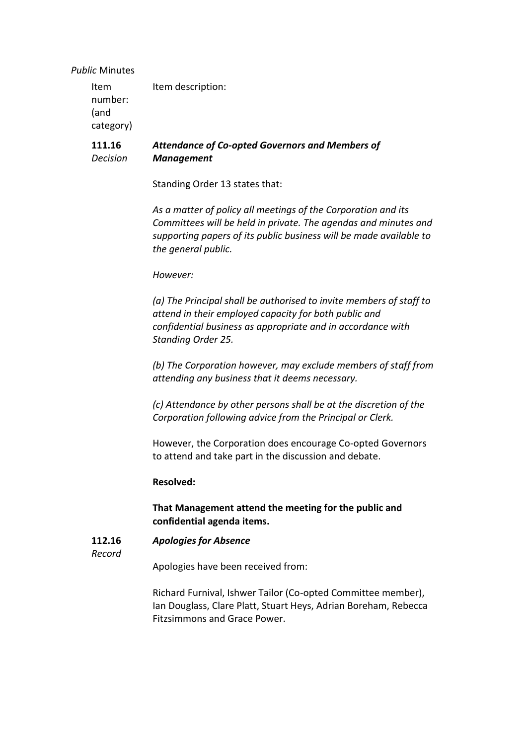#### *Public* Minutes

| Item description: |
|-------------------|
|                   |
|                   |
|                   |
|                   |

#### **111.16** *Decision Attendance of Co-opted Governors and Members of Management*

Standing Order 13 states that:

*As a matter of policy all meetings of the Corporation and its Committees will be held in private. The agendas and minutes and supporting papers of its public business will be made available to the general public.*

#### *However:*

*(a) The Principal shall be authorised to invite members of staff to attend in their employed capacity for both public and confidential business as appropriate and in accordance with Standing Order 25.*

*(b) The Corporation however, may exclude members of staff from attending any business that it deems necessary.*

*(c) Attendance by other persons shall be at the discretion of the Corporation following advice from the Principal or Clerk.*

However, the Corporation does encourage Co-opted Governors to attend and take part in the discussion and debate.

#### **Resolved:**

## **That Management attend the meeting for the public and confidential agenda items.**

#### **112.16** *Apologies for Absence*

*Record*

Apologies have been received from:

Richard Furnival, Ishwer Tailor (Co-opted Committee member), Ian Douglass, Clare Platt, Stuart Heys, Adrian Boreham, Rebecca Fitzsimmons and Grace Power.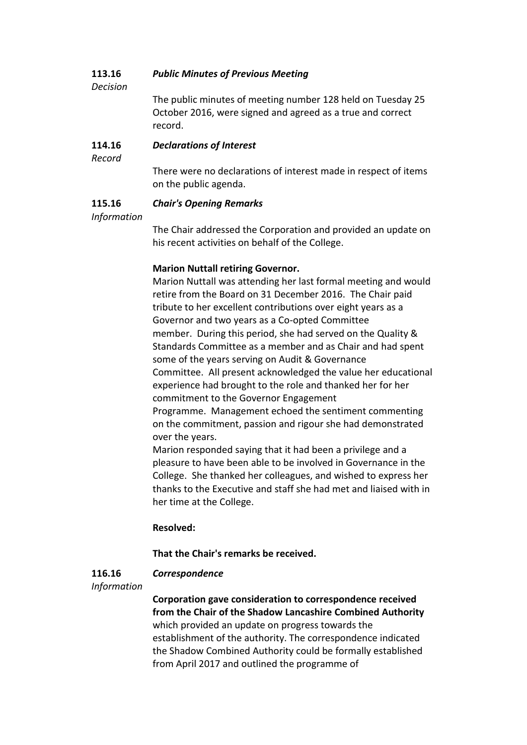#### **113.16** *Public Minutes of Previous Meeting*

*Decision*

The public minutes of meeting number 128 held on Tuesday 25 October 2016, were signed and agreed as a true and correct record.

#### **114.16** *Declarations of Interest*

*Record*

There were no declarations of interest made in respect of items on the public agenda.

#### **115.16** *Chair's Opening Remarks*

## *Information*

The Chair addressed the Corporation and provided an update on his recent activities on behalf of the College.

## **Marion Nuttall retiring Governor.**

Marion Nuttall was attending her last formal meeting and would retire from the Board on 31 December 2016. The Chair paid tribute to her excellent contributions over eight years as a Governor and two years as a Co-opted Committee member. During this period, she had served on the Quality & Standards Committee as a member and as Chair and had spent some of the years serving on Audit & Governance Committee. All present acknowledged the value her educational experience had brought to the role and thanked her for her commitment to the Governor Engagement Programme. Management echoed the sentiment commenting on the commitment, passion and rigour she had demonstrated over the years.

Marion responded saying that it had been a privilege and a pleasure to have been able to be involved in Governance in the College. She thanked her colleagues, and wished to express her thanks to the Executive and staff she had met and liaised with in her time at the College.

## **Resolved:**

## **That the Chair's remarks be received.**

## *Correspondence*

*Information*

**116.16**

**Corporation gave consideration to correspondence received from the Chair of the Shadow Lancashire Combined Authority** which provided an update on progress towards the establishment of the authority. The correspondence indicated the Shadow Combined Authority could be formally established from April 2017 and outlined the programme of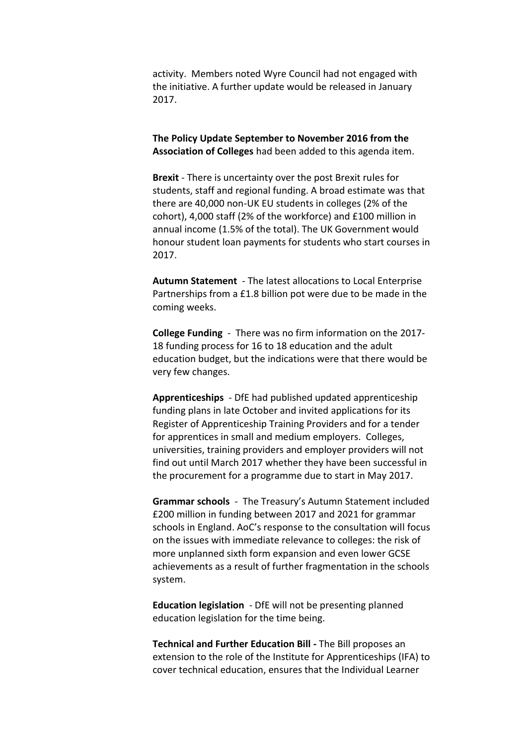activity. Members noted Wyre Council had not engaged with the initiative. A further update would be released in January 2017.

**The Policy Update September to November 2016 from the Association of Colleges** had been added to this agenda item.

**Brexit** - There is uncertainty over the post Brexit rules for students, staff and regional funding. A broad estimate was that there are 40,000 non-UK EU students in colleges (2% of the cohort), 4,000 staff (2% of the workforce) and £100 million in annual income (1.5% of the total). The UK Government would honour student loan payments for students who start courses in 2017.

**Autumn Statement** - The latest allocations to Local Enterprise Partnerships from a £1.8 billion pot were due to be made in the coming weeks.

**College Funding** - There was no firm information on the 2017- 18 funding process for 16 to 18 education and the adult education budget, but the indications were that there would be very few changes.

**Apprenticeships** - DfE had published updated apprenticeship funding plans in late October and invited applications for its Register of Apprenticeship Training Providers and for a tender for apprentices in small and medium employers. Colleges, universities, training providers and employer providers will not find out until March 2017 whether they have been successful in the procurement for a programme due to start in May 2017.

**Grammar schools** - The Treasury's Autumn Statement included £200 million in funding between 2017 and 2021 for grammar schools in England. AoC's response to the consultation will focus on the issues with immediate relevance to colleges: the risk of more unplanned sixth form expansion and even lower GCSE achievements as a result of further fragmentation in the schools system.

**Education legislation** - DfE will not be presenting planned education legislation for the time being.

**Technical and Further Education Bill -** The Bill proposes an extension to the role of the Institute for Apprenticeships (IFA) to cover technical education, ensures that the Individual Learner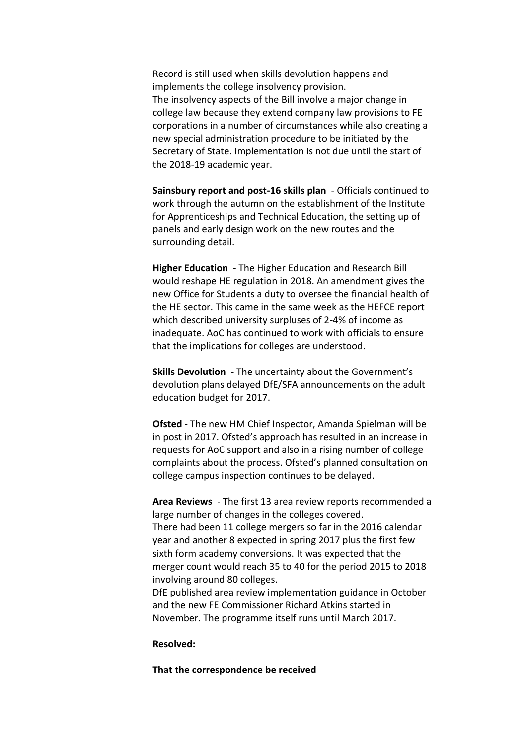Record is still used when skills devolution happens and implements the college insolvency provision. The insolvency aspects of the Bill involve a major change in college law because they extend company law provisions to FE corporations in a number of circumstances while also creating a new special administration procedure to be initiated by the Secretary of State. Implementation is not due until the start of the 2018-19 academic year.

**Sainsbury report and post-16 skills plan** - Officials continued to work through the autumn on the establishment of the Institute for Apprenticeships and Technical Education, the setting up of panels and early design work on the new routes and the surrounding detail.

**Higher Education** - The Higher Education and Research Bill would reshape HE regulation in 2018. An amendment gives the new Office for Students a duty to oversee the financial health of the HE sector. This came in the same week as the HEFCE report which described university surpluses of 2-4% of income as inadequate. AoC has continued to work with officials to ensure that the implications for colleges are understood.

**Skills Devolution** - The uncertainty about the Government's devolution plans delayed DfE/SFA announcements on the adult education budget for 2017.

**Ofsted** - The new HM Chief Inspector, Amanda Spielman will be in post in 2017. Ofsted's approach has resulted in an increase in requests for AoC support and also in a rising number of college complaints about the process. Ofsted's planned consultation on college campus inspection continues to be delayed.

**Area Reviews** - The first 13 area review reports recommended a large number of changes in the colleges covered. There had been 11 college mergers so far in the 2016 calendar year and another 8 expected in spring 2017 plus the first few sixth form academy conversions. It was expected that the merger count would reach 35 to 40 for the period 2015 to 2018 involving around 80 colleges.

DfE published area review implementation guidance in October and the new FE Commissioner Richard Atkins started in November. The programme itself runs until March 2017.

#### **Resolved:**

**That the correspondence be received**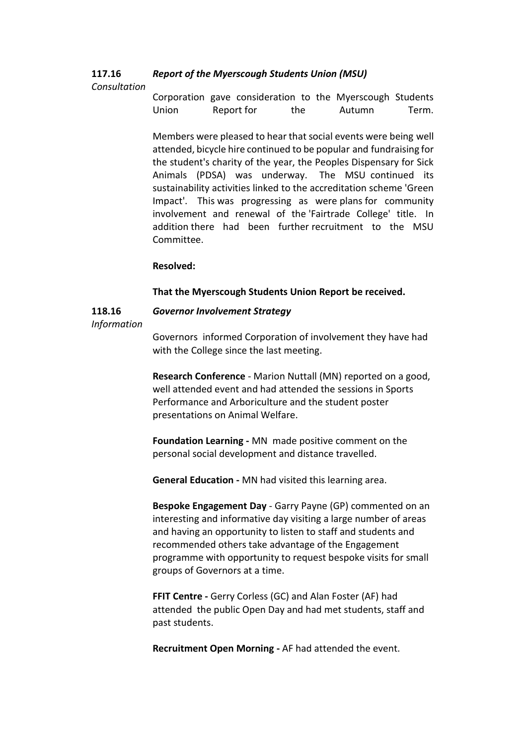#### **117.16** *Report of the Myerscough Students Union (MSU)*

### *Consultation*

Corporation gave consideration to the Myerscough Students Union Report for the Autumn Term.

Members were pleased to hear that social events were being well attended, bicycle hire continued to be popular and fundraising for the student's charity of the year, the Peoples Dispensary for Sick Animals (PDSA) was underway. The MSU continued its sustainability activities linked to the accreditation scheme 'Green Impact'. This was progressing as were plans for community involvement and renewal of the 'Fairtrade College' title. In addition there had been further recruitment to the MSU Committee.

### **Resolved:**

#### **That the Myerscough Students Union Report be received.**

# **118.16**

## *Governor Involvement Strategy*

#### *Information*

Governors informed Corporation of involvement they have had with the College since the last meeting.

**Research Conference** - Marion Nuttall (MN) reported on a good, well attended event and had attended the sessions in Sports Performance and Arboriculture and the student poster presentations on Animal Welfare.

**Foundation Learning -** MN made positive comment on the personal social development and distance travelled.

**General Education -** MN had visited this learning area.

**Bespoke Engagement Day** - Garry Payne (GP) commented on an interesting and informative day visiting a large number of areas and having an opportunity to listen to staff and students and recommended others take advantage of the Engagement programme with opportunity to request bespoke visits for small groups of Governors at a time.

**FFIT Centre -** Gerry Corless (GC) and Alan Foster (AF) had attended the public Open Day and had met students, staff and past students.

**Recruitment Open Morning -** AF had attended the event.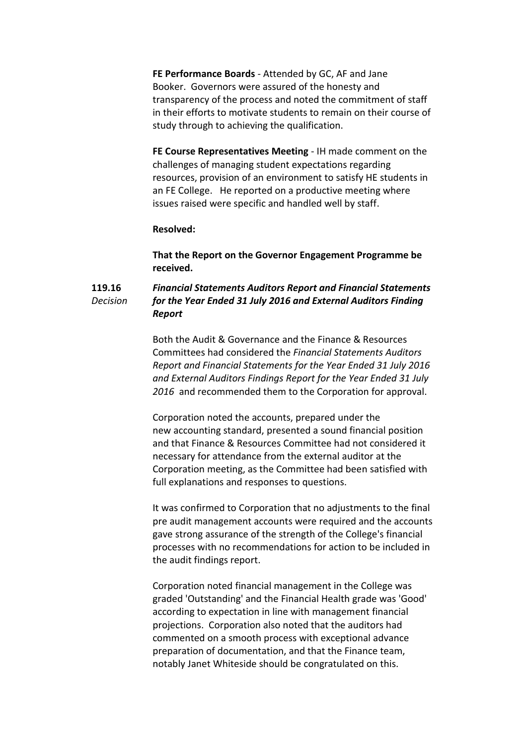**FE Performance Boards** - Attended by GC, AF and Jane Booker. Governors were assured of the honesty and transparency of the process and noted the commitment of staff in their efforts to motivate students to remain on their course of study through to achieving the qualification.

**FE Course Representatives Meeting** - IH made comment on the challenges of managing student expectations regarding resources, provision of an environment to satisfy HE students in an FE College. He reported on a productive meeting where issues raised were specific and handled well by staff.

#### **Resolved:**

**That the Report on the Governor Engagement Programme be received.**

#### **119.16** *Decision Financial Statements Auditors Report and Financial Statements for the Year Ended 31 July 2016 and External Auditors Finding Report*

Both the Audit & Governance and the Finance & Resources Committees had considered the *Financial Statements Auditors Report and Financial Statements for the Year Ended 31 July 2016 and External Auditors Findings Report for the Year Ended 31 July 2016* and recommended them to the Corporation for approval.

Corporation noted the accounts, prepared under the new accounting standard, presented a sound financial position and that Finance & Resources Committee had not considered it necessary for attendance from the external auditor at the Corporation meeting, as the Committee had been satisfied with full explanations and responses to questions.

It was confirmed to Corporation that no adjustments to the final pre audit management accounts were required and the accounts gave strong assurance of the strength of the College's financial processes with no recommendations for action to be included in the audit findings report.

Corporation noted financial management in the College was graded 'Outstanding' and the Financial Health grade was 'Good' according to expectation in line with management financial projections. Corporation also noted that the auditors had commented on a smooth process with exceptional advance preparation of documentation, and that the Finance team, notably Janet Whiteside should be congratulated on this.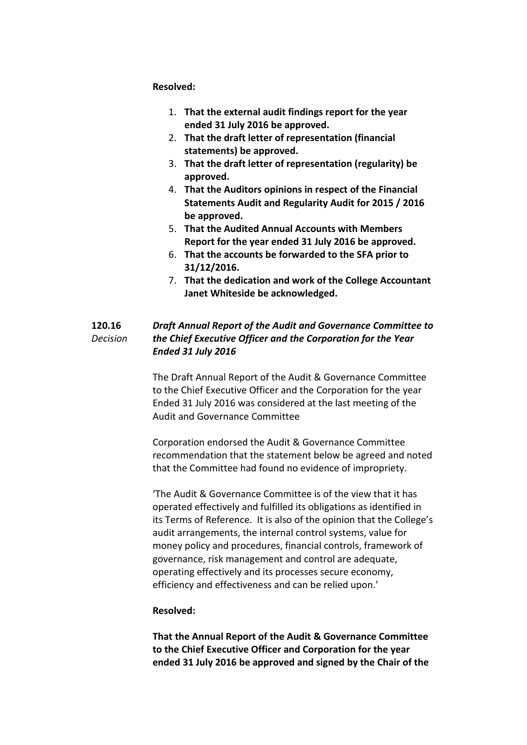**Resolved:**

- 1. **That the external audit findings report for the year ended 31 July 2016 be approved.**
- 2. **That the draft letter of representation (financial statements) be approved.**
- 3. **That the draft letter of representation (regularity) be approved.**
- 4. **That the Auditors opinions in respect of the Financial Statements Audit and Regularity Audit for 2015 / 2016 be approved.**
- 5. **That the Audited Annual Accounts with Members Report for the year ended 31 July 2016 be approved.**
- 6. **That the accounts be forwarded to the SFA prior to 31/12/2016.**
- 7. **That the dedication and work of the College Accountant Janet Whiteside be acknowledged.**

#### **120.16** *Decision Draft Annual Report of the Audit and Governance Committee to the Chief Executive Officer and the Corporation for the Year Ended 31 July 2016*

The Draft Annual Report of the Audit & Governance Committee to the Chief Executive Officer and the Corporation for the year Ended 31 July 2016 was considered at the last meeting of the Audit and Governance Committee

Corporation endorsed the Audit & Governance Committee recommendation that the statement below be agreed and noted that the Committee had found no evidence of impropriety.

'The Audit & Governance Committee is of the view that it has operated effectively and fulfilled its obligations as identified in its Terms of Reference. It is also of the opinion that the College's audit arrangements, the internal control systems, value for money policy and procedures, financial controls, framework of governance, risk management and control are adequate, operating effectively and its processes secure economy, efficiency and effectiveness and can be relied upon.'

## **Resolved:**

**That the Annual Report of the Audit & Governance Committee to the Chief Executive Officer and Corporation for the year ended 31 July 2016 be approved and signed by the Chair of the**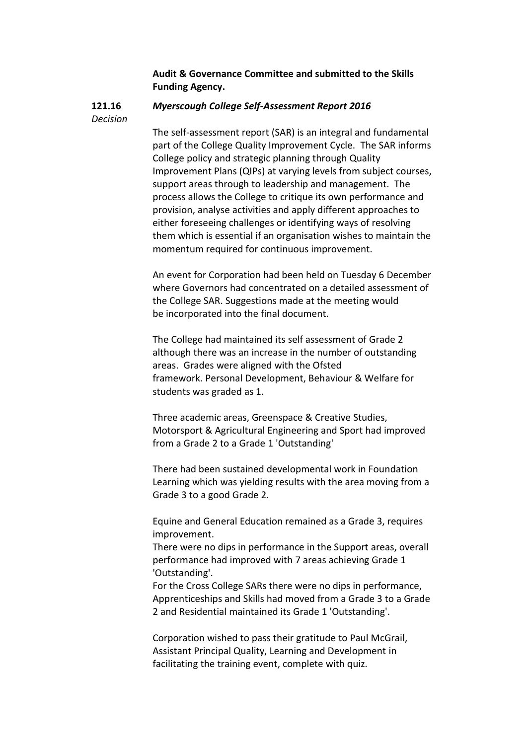## **Audit & Governance Committee and submitted to the Skills Funding Agency.**

#### **121.16** *Myerscough College Self-Assessment Report 2016*

*Decision*

The self-assessment report (SAR) is an integral and fundamental part of the College Quality Improvement Cycle. The SAR informs College policy and strategic planning through Quality Improvement Plans (QIPs) at varying levels from subject courses, support areas through to leadership and management. The process allows the College to critique its own performance and provision, analyse activities and apply different approaches to either foreseeing challenges or identifying ways of resolving them which is essential if an organisation wishes to maintain the momentum required for continuous improvement.

An event for Corporation had been held on Tuesday 6 December where Governors had concentrated on a detailed assessment of the College SAR. Suggestions made at the meeting would be incorporated into the final document.

The College had maintained its self assessment of Grade 2 although there was an increase in the number of outstanding areas. Grades were aligned with the Ofsted framework. Personal Development, Behaviour & Welfare for students was graded as 1.

Three academic areas, Greenspace & Creative Studies, Motorsport & Agricultural Engineering and Sport had improved from a Grade 2 to a Grade 1 'Outstanding'

There had been sustained developmental work in Foundation Learning which was yielding results with the area moving from a Grade 3 to a good Grade 2.

Equine and General Education remained as a Grade 3, requires improvement.

There were no dips in performance in the Support areas, overall performance had improved with 7 areas achieving Grade 1 'Outstanding'.

For the Cross College SARs there were no dips in performance, Apprenticeships and Skills had moved from a Grade 3 to a Grade 2 and Residential maintained its Grade 1 'Outstanding'.

Corporation wished to pass their gratitude to Paul McGrail, Assistant Principal Quality, Learning and Development in facilitating the training event, complete with quiz.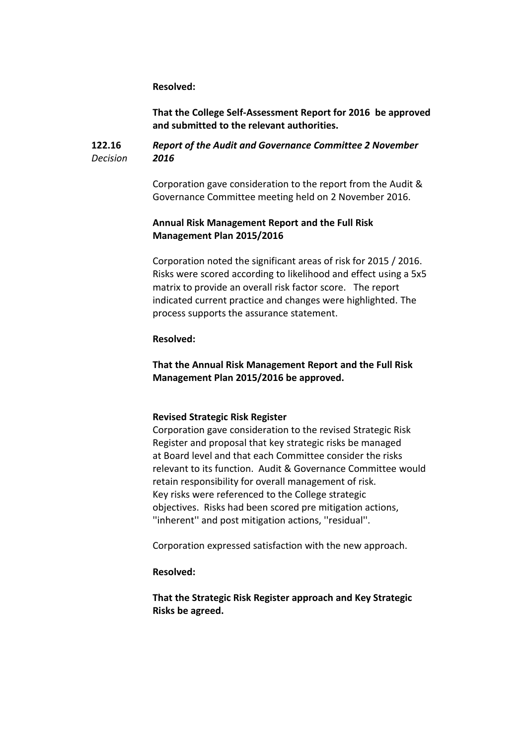**Resolved:**

**That the College Self-Assessment Report for 2016 be approved and submitted to the relevant authorities.**

#### **122.16** *Decision Report of the Audit and Governance Committee 2 November 2016*

Corporation gave consideration to the report from the Audit & Governance Committee meeting held on 2 November 2016.

## **Annual Risk Management Report and the Full Risk Management Plan 2015/2016**

Corporation noted the significant areas of risk for 2015 / 2016. Risks were scored according to likelihood and effect using a 5x5 matrix to provide an overall risk factor score. The report indicated current practice and changes were highlighted. The process supports the assurance statement.

#### **Resolved:**

**That the Annual Risk Management Report and the Full Risk Management Plan 2015/2016 be approved.** 

#### **Revised Strategic Risk Register**

Corporation gave consideration to the revised Strategic Risk Register and proposal that key strategic risks be managed at Board level and that each Committee consider the risks relevant to its function. Audit & Governance Committee would retain responsibility for overall management of risk. Key risks were referenced to the College strategic objectives. Risks had been scored pre mitigation actions, ''inherent'' and post mitigation actions, ''residual''.

Corporation expressed satisfaction with the new approach.

#### **Resolved:**

**That the Strategic Risk Register approach and Key Strategic Risks be agreed.**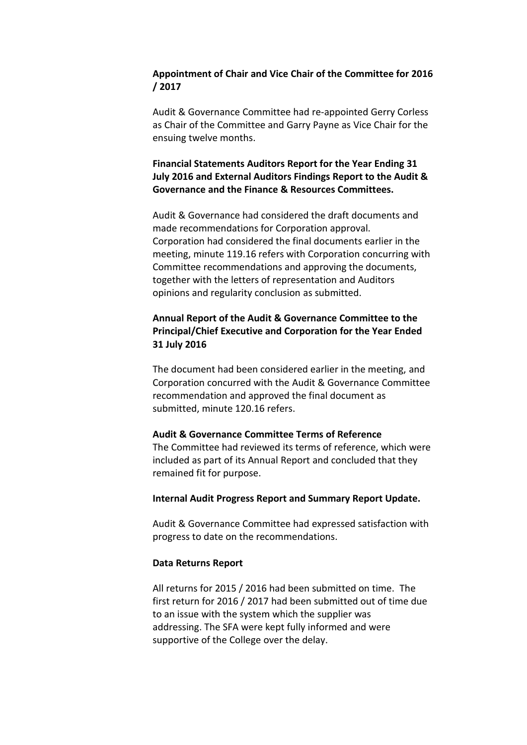## **Appointment of Chair and Vice Chair of the Committee for 2016 / 2017**

Audit & Governance Committee had re-appointed Gerry Corless as Chair of the Committee and Garry Payne as Vice Chair for the ensuing twelve months.

## **Financial Statements Auditors Report for the Year Ending 31 July 2016 and External Auditors Findings Report to the Audit & Governance and the Finance & Resources Committees.**

Audit & Governance had considered the draft documents and made recommendations for Corporation approval. Corporation had considered the final documents earlier in the meeting, minute 119.16 refers with Corporation concurring with Committee recommendations and approving the documents, together with the letters of representation and Auditors opinions and regularity conclusion as submitted.

## **Annual Report of the Audit & Governance Committee to the Principal/Chief Executive and Corporation for the Year Ended 31 July 2016**

The document had been considered earlier in the meeting, and Corporation concurred with the Audit & Governance Committee recommendation and approved the final document as submitted, minute 120.16 refers.

#### **Audit & Governance Committee Terms of Reference**

The Committee had reviewed its terms of reference, which were included as part of its Annual Report and concluded that they remained fit for purpose.

#### **Internal Audit Progress Report and Summary Report Update.**

Audit & Governance Committee had expressed satisfaction with progress to date on the recommendations.

#### **Data Returns Report**

All returns for 2015 / 2016 had been submitted on time. The first return for 2016 / 2017 had been submitted out of time due to an issue with the system which the supplier was addressing. The SFA were kept fully informed and were supportive of the College over the delay.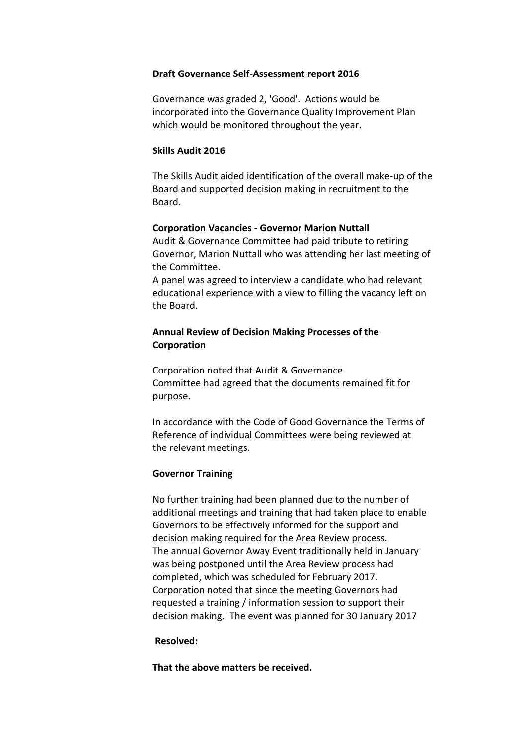#### **Draft Governance Self-Assessment report 2016**

Governance was graded 2, 'Good'. Actions would be incorporated into the Governance Quality Improvement Plan which would be monitored throughout the year.

#### **Skills Audit 2016**

The Skills Audit aided identification of the overall make-up of the Board and supported decision making in recruitment to the Board.

#### **Corporation Vacancies - Governor Marion Nuttall**

Audit & Governance Committee had paid tribute to retiring Governor, Marion Nuttall who was attending her last meeting of the Committee.

A panel was agreed to interview a candidate who had relevant educational experience with a view to filling the vacancy left on the Board.

## **Annual Review of Decision Making Processes of the Corporation**

Corporation noted that Audit & Governance Committee had agreed that the documents remained fit for purpose.

In accordance with the Code of Good Governance the Terms of Reference of individual Committees were being reviewed at the relevant meetings.

#### **Governor Training**

No further training had been planned due to the number of additional meetings and training that had taken place to enable Governors to be effectively informed for the support and decision making required for the Area Review process. The annual Governor Away Event traditionally held in January was being postponed until the Area Review process had completed, which was scheduled for February 2017. Corporation noted that since the meeting Governors had requested a training / information session to support their decision making. The event was planned for 30 January 2017

#### **Resolved:**

**That the above matters be received.**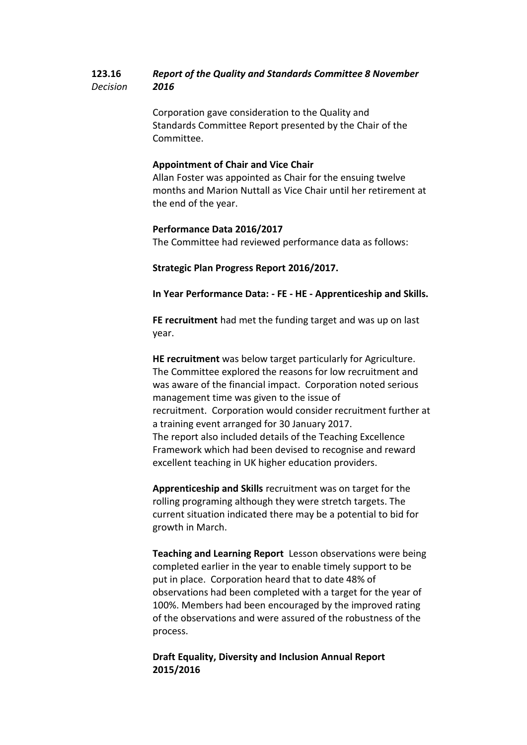#### **123.16** *Decision Report of the Quality and Standards Committee 8 November 2016*

Corporation gave consideration to the Quality and Standards Committee Report presented by the Chair of the Committee.

## **Appointment of Chair and Vice Chair**

Allan Foster was appointed as Chair for the ensuing twelve months and Marion Nuttall as Vice Chair until her retirement at the end of the year.

## **Performance Data 2016/2017**

The Committee had reviewed performance data as follows:

## **Strategic Plan Progress Report 2016/2017.**

**In Year Performance Data: - FE - HE - Apprenticeship and Skills.**

**FE recruitment** had met the funding target and was up on last year.

**HE recruitment** was below target particularly for Agriculture. The Committee explored the reasons for low recruitment and was aware of the financial impact. Corporation noted serious management time was given to the issue of recruitment. Corporation would consider recruitment further at a training event arranged for 30 January 2017. The report also included details of the Teaching Excellence Framework which had been devised to recognise and reward excellent teaching in UK higher education providers.

**Apprenticeship and Skills** recruitment was on target for the rolling programing although they were stretch targets. The current situation indicated there may be a potential to bid for growth in March.

**Teaching and Learning Report** Lesson observations were being completed earlier in the year to enable timely support to be put in place. Corporation heard that to date 48% of observations had been completed with a target for the year of 100%. Members had been encouraged by the improved rating of the observations and were assured of the robustness of the process.

**Draft Equality, Diversity and Inclusion Annual Report 2015/2016**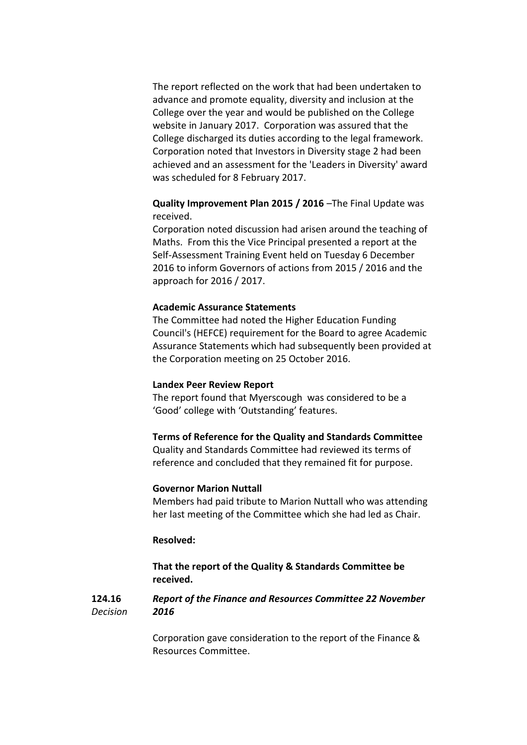The report reflected on the work that had been undertaken to advance and promote equality, diversity and inclusion at the College over the year and would be published on the College website in January 2017. Corporation was assured that the College discharged its duties according to the legal framework. Corporation noted that Investors in Diversity stage 2 had been achieved and an assessment for the 'Leaders in Diversity' award was scheduled for 8 February 2017.

## **Quality Improvement Plan 2015 / 2016** –The Final Update was received.

Corporation noted discussion had arisen around the teaching of Maths. From this the Vice Principal presented a report at the Self-Assessment Training Event held on Tuesday 6 December 2016 to inform Governors of actions from 2015 / 2016 and the approach for 2016 / 2017.

### **Academic Assurance Statements**

The Committee had noted the Higher Education Funding Council's (HEFCE) requirement for the Board to agree Academic Assurance Statements which had subsequently been provided at the Corporation meeting on 25 October 2016.

#### **Landex Peer Review Report**

The report found that Myerscough was considered to be a 'Good' college with 'Outstanding' features.

## **Terms of Reference for the Quality and Standards Committee**

Quality and Standards Committee had reviewed its terms of reference and concluded that they remained fit for purpose.

#### **Governor Marion Nuttall**

Members had paid tribute to Marion Nuttall who was attending her last meeting of the Committee which she had led as Chair.

### **Resolved:**

**That the report of the Quality & Standards Committee be received.**

#### **124.16** *Decision Report of the Finance and Resources Committee 22 November 2016*

Corporation gave consideration to the report of the Finance & Resources Committee.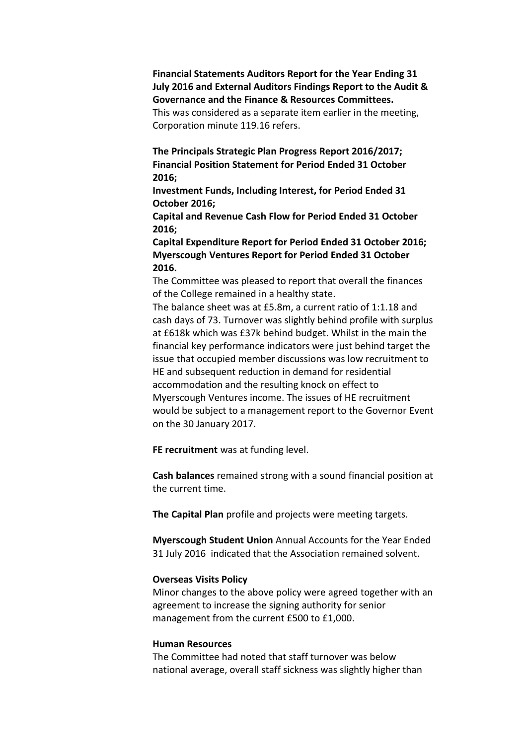**Financial Statements Auditors Report for the Year Ending 31 July 2016 and External Auditors Findings Report to the Audit & Governance and the Finance & Resources Committees.** This was considered as a separate item earlier in the meeting, Corporation minute 119.16 refers.

**The Principals Strategic Plan Progress Report 2016/2017; Financial Position Statement for Period Ended 31 October 2016;** 

**Investment Funds, Including Interest, for Period Ended 31 October 2016;**

**Capital and Revenue Cash Flow for Period Ended 31 October 2016;**

**Capital Expenditure Report for Period Ended 31 October 2016; Myerscough Ventures Report for Period Ended 31 October 2016.**

The Committee was pleased to report that overall the finances of the College remained in a healthy state.

The balance sheet was at £5.8m, a current ratio of 1:1.18 and cash days of 73. Turnover was slightly behind profile with surplus at £618k which was £37k behind budget. Whilst in the main the financial key performance indicators were just behind target the issue that occupied member discussions was low recruitment to HE and subsequent reduction in demand for residential accommodation and the resulting knock on effect to Myerscough Ventures income. The issues of HE recruitment would be subject to a management report to the Governor Event on the 30 January 2017.

**FE recruitment** was at funding level.

**Cash balances** remained strong with a sound financial position at the current time.

**The Capital Plan** profile and projects were meeting targets.

**Myerscough Student Union** Annual Accounts for the Year Ended 31 July 2016 indicated that the Association remained solvent.

#### **Overseas Visits Policy**

Minor changes to the above policy were agreed together with an agreement to increase the signing authority for senior management from the current £500 to £1,000.

### **Human Resources**

The Committee had noted that staff turnover was below national average, overall staff sickness was slightly higher than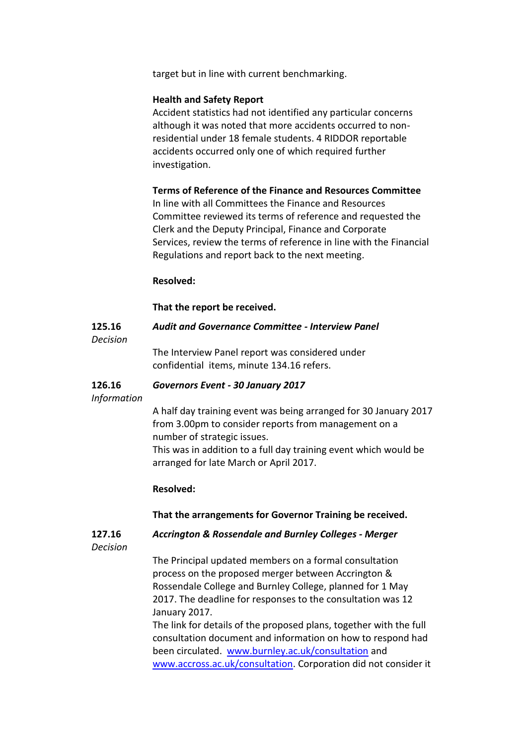target but in line with current benchmarking.

### **Health and Safety Report**

Accident statistics had not identified any particular concerns although it was noted that more accidents occurred to nonresidential under 18 female students. 4 RIDDOR reportable accidents occurred only one of which required further investigation.

## **Terms of Reference of the Finance and Resources Committee**

In line with all Committees the Finance and Resources Committee reviewed its terms of reference and requested the Clerk and the Deputy Principal, Finance and Corporate Services, review the terms of reference in line with the Financial Regulations and report back to the next meeting.

## **Resolved:**

**That the report be received.**

#### **125.16** *Audit and Governance Committee - Interview Panel*

*Decision*

The Interview Panel report was considered under confidential items, minute 134.16 refers.

#### **126.16** *Governors Event - 30 January 2017*

*Information*

A half day training event was being arranged for 30 January 2017 from 3.00pm to consider reports from management on a number of strategic issues. This was in addition to a full day training event which would be arranged for late March or April 2017.

## **Resolved:**

**That the arrangements for Governor Training be received.**

**127.16** *Accrington & Rossendale and Burnley Colleges - Merger*

*Decision*

The Principal updated members on a formal consultation process on the proposed merger between Accrington & Rossendale College and Burnley College, planned for 1 May 2017. The deadline for responses to the consultation was 12 January 2017.

The link for details of the proposed plans, together with the full consultation document and information on how to respond had been circulated. [www.burnley.ac.uk/consultation](http://www.burnley.ac.uk/consultation) and [www.accross.ac.uk/consultation.](http://www.accross.ac.uk/consultation) Corporation did not consider it